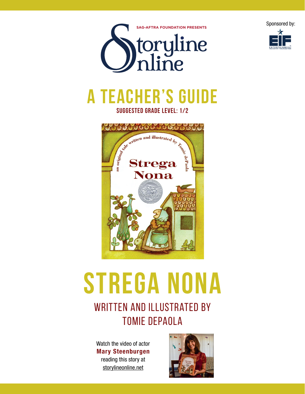



# **A teacher's guide suggested grade level: 1/2**



# **strega nona**

# WRITTEN AND ILLUSTRATED BY Tomie depaola

Watch the video of actor Mary Steenburgen reading this story at storylineonline.net

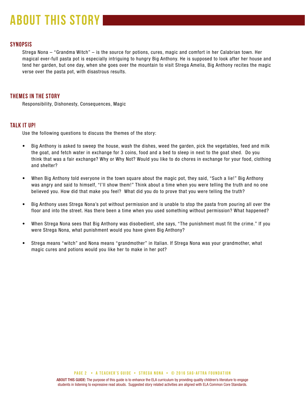# **about this story**

## **SYNOPSIS**

Strega Nona – "Grandma Witch" – is the source for potions, cures, magic and comfort in her Calabrian town. Her magical ever-full pasta pot is especially intriguing to hungry Big Anthony. He is supposed to look after her house and tend her garden, but one day, when she goes over the mountain to visit Strega Amelia, Big Anthony recites the magic verse over the pasta pot, with disastrous results.

# **THEMES IN THE STORY**

Responsibility, Dishonesty, Consequences, Magic

## **TALK IT UP!**

Use the following questions to discuss the themes of the story:

- Big Anthony is asked to sweep the house, wash the dishes, weed the garden, pick the vegetables, feed and milk the goat, and fetch water in exchange for 3 coins, food and a bed to sleep in next to the goat shed. Do you think that was a fair exchange? Why or Why Not? Would you like to do chores in exchange for your food, clothing and shelter?
- When Big Anthony told everyone in the town square about the magic pot, they said, "Such a lie!" Big Anthony was angry and said to himself, "I'll show them!" Think about a time when you were telling the truth and no one believed you. How did that make you feel? What did you do to prove that you were telling the truth?
- Big Anthony uses Strega Nona's pot without permission and is unable to stop the pasta from pouring all over the floor and into the street. Has there been a time when you used something without permission? What happened?
- When Strega Nona sees that Big Anthony was disobedient, she says, "The punishment must fit the crime." If you were Strega Nona, what punishment would you have given Big Anthony?
- Strega means "witch" and Nona means "grandmother" in Italian. If Strega Nona was your grandmother, what magic cures and potions would you like her to make in her pot?

ABOUT THIS GUIDE: The purpose of this guide is to enhance the ELA curriculum by providing quality children's literature to engage students in listening to expressive read alouds. Suggested story related activities are aligned with ELA Common Core Standards.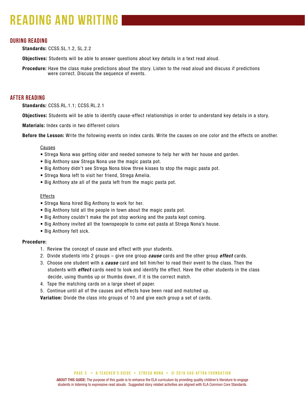# **reading and writing**

## **during reading**

Standards: CCSS.SL.1.2, SL.2.2

**Objectives:** Students will be able to answer questions about key details in a text read aloud.

Procedure: Have the class make predictions about the story. Listen to the read aloud and discuss if predictions were correct. Discuss the sequence of events.

### **after reading**

Standards: CCSS.RL.1.1; CCSS.RL.2.1

Objectives: Students will be able to identify cause-effect relationships in order to understand key details in a story.

Materials: Index cards in two different colors

Before the Lesson: Write the following events on index cards. Write the causes on one color and the effects on another.

#### Causes

- Strega Nona was getting older and needed someone to help her with her house and garden.
- Big Anthony saw Strega Nona use the magic pasta pot.
- Big Anthony didn't see Strega Nona blow three kisses to stop the magic pasta pot.
- Strega Nona left to visit her friend, Strega Amelia.
- Big Anthony ate all of the pasta left from the magic pasta pot.

#### **Effects**

- Strega Nona hired Big Anthony to work for her.
- Big Anthony told all the people in town about the magic pasta pot.
- Big Anthony couldn't make the pot stop working and the pasta kept coming.
- Big Anthony invited all the townspeople to come eat pasta at Strega Nona's house.
- Big Anthony felt sick.

#### Procedure:

- 1. Review the concept of cause and effect with your students.
- 2. Divide students into 2 groups give one group *cause* cards and the other group *effect* cards.
- 3. Choose one student with a *cause* card and tell him/her to read their event to the class. Then the students with *effect* cards need to look and identify the effect. Have the other students in the class decide, using thumbs up or thumbs down, if it is the correct match.
- 4. Tape the matching cards on a large sheet of paper.
- 5. Continue until all of the causes and effects have been read and matched up.

Variation: Divide the class into groups of 10 and give each group a set of cards.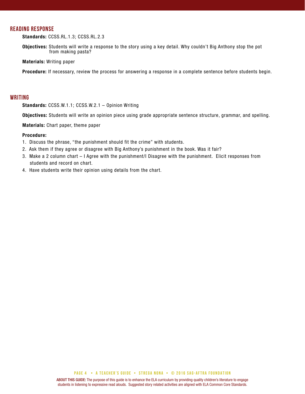# **reading response**

Standards: CCSS.RL.1.3; CCSS.RL.2.3

Objectives: Students will write a response to the story using a key detail. Why couldn't Big Anthony stop the pot from making pasta?

Materials: Writing paper

Procedure: If necessary, review the process for answering a response in a complete sentence before students begin.

#### **writing**

Standards: CCSS.W.1.1; CCSS.W.2.1 – Opinion Writing

Objectives: Students will write an opinion piece using grade appropriate sentence structure, grammar, and spelling.

Materials: Chart paper, theme paper

#### Procedure:

- 1. Discuss the phrase, "the punishment should fit the crime" with students.
- 2. Ask them if they agree or disagree with Big Anthony's punishment in the book. Was it fair?
- 3. Make a 2 column chart I Agree with the punishment/I Disagree with the punishment. Elicit responses from students and record on chart.
- 4. Have students write their opinion using details from the chart.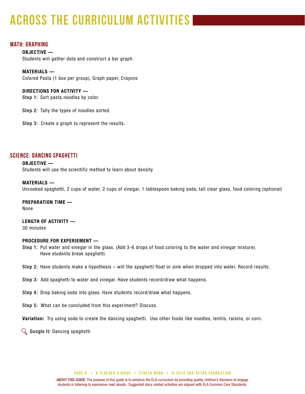# **across the curriculum activities**

# **math: graphing**

OBJECTIVE — Students will gather data and construct a bar graph.

MATERIALS — Colored Pasta (1 box per group), Graph paper, Crayons

DIRECTIONS FOR ACTIVITY — Step 1: Sort pasta noodles by color.

Step 2: Tally the types of noodles sorted.

Step 3: Create a graph to represent the results.

# **science: dancing spaghetti**

OBJECTIVE — Students will use the scientific method to learn about density

#### MATERIALS —

Uncooked spaghetti, 2 cups of water, 2 cups of vinegar, 1 tablespoon baking soda, tall clear glass, food coloring (optional)

PREPARATION TIME — None

LENGTH OF ACTIVITY — 30 minutes

#### PROCEDURE FOR EXPERIEMENT —

- Step 1: Put water and vinegar in the glass. (Add 3-6 drops of food coloring to the water and vinegar mixture). Have students break spaghetti.
- Step 2: Have students make a hypothesis will the spaghetti float or sink when dropped into water. Record results.

Step 3: Add spaghetti to water and vinegar. Have students record/draw what happens.

Step 4: Drop baking soda into glass. Have students record/draw what happens.

Step 5: What can be concluded from this experiment? Discuss.

Variation: Try using soda to create the dancing spaghetti. Use other foods like noodles, lentils, raisins, or corn.

 $\mathbb Q$  Google It: Dancing spaghetti